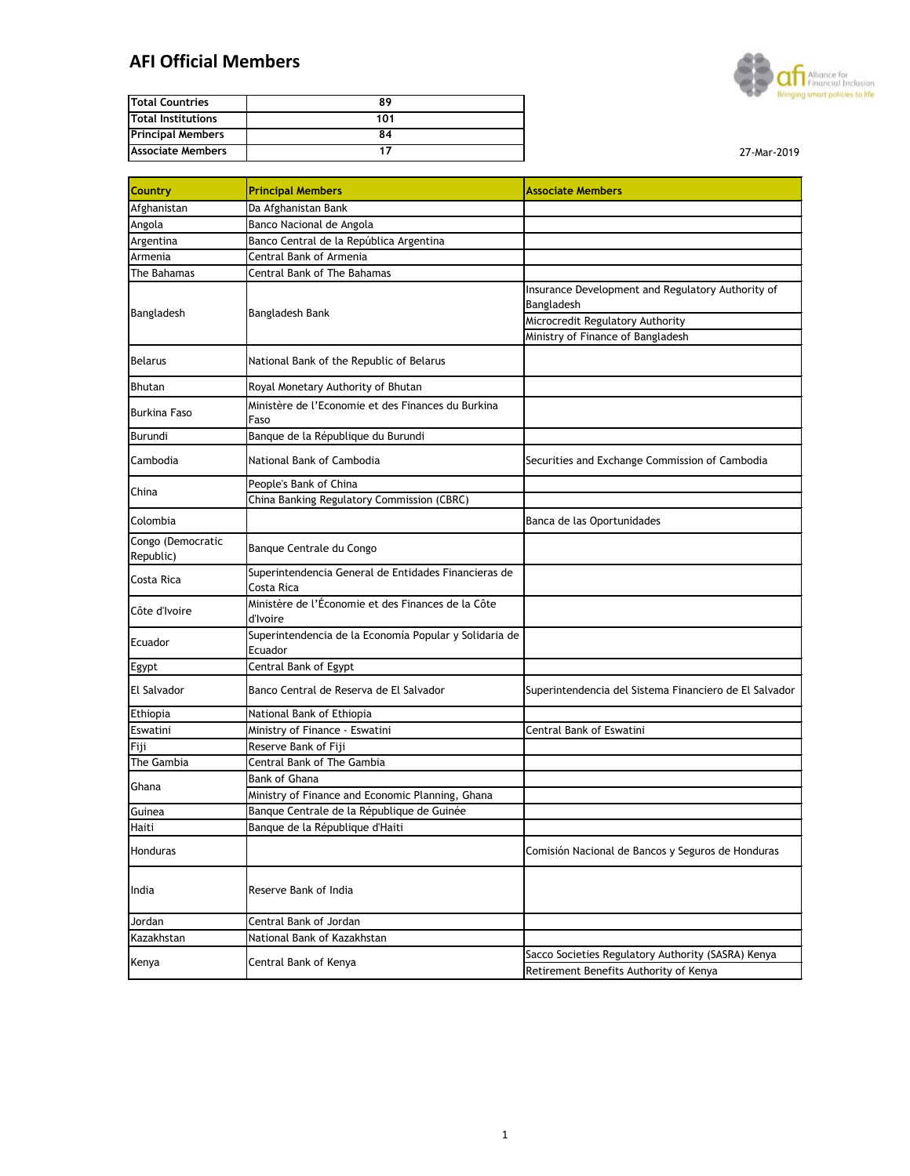## **AFI Official Members**



| <b>Total Countries</b>    | 89  |
|---------------------------|-----|
| <b>Total Institutions</b> | 101 |
| <b>Principal Members</b>  | 84  |
| <b>Associate Members</b>  |     |

| <b>Country</b>                 | <b>Principal Members</b>                                           | <b>Associate Members</b>                                        |
|--------------------------------|--------------------------------------------------------------------|-----------------------------------------------------------------|
| Afghanistan                    | Da Afghanistan Bank                                                |                                                                 |
| Angola                         | Banco Nacional de Angola                                           |                                                                 |
| Argentina                      | Banco Central de la República Argentina                            |                                                                 |
| Armenia                        | Central Bank of Armenia                                            |                                                                 |
| The Bahamas                    | <b>Central Bank of The Bahamas</b>                                 |                                                                 |
| Bangladesh                     | <b>Bangladesh Bank</b>                                             | Insurance Development and Regulatory Authority of<br>Bangladesh |
|                                |                                                                    | Microcredit Regulatory Authority                                |
|                                |                                                                    | Ministry of Finance of Bangladesh                               |
| <b>Belarus</b>                 | National Bank of the Republic of Belarus                           |                                                                 |
| <b>Bhutan</b>                  | Royal Monetary Authority of Bhutan                                 |                                                                 |
| <b>Burkina Faso</b>            | Ministère de l'Economie et des Finances du Burkina<br>Faso         |                                                                 |
| <b>Burundi</b>                 | Banque de la République du Burundi                                 |                                                                 |
| Cambodia                       | National Bank of Cambodia                                          | Securities and Exchange Commission of Cambodia                  |
|                                | People's Bank of China                                             |                                                                 |
| China                          | China Banking Regulatory Commission (CBRC)                         |                                                                 |
| Colombia                       |                                                                    | Banca de las Oportunidades                                      |
| Congo (Democratic<br>Republic) | Banque Centrale du Congo                                           |                                                                 |
| Costa Rica                     | Superintendencia General de Entidades Financieras de<br>Costa Rica |                                                                 |
| Côte d'Ivoire                  | Ministère de l'Économie et des Finances de la Côte<br>d'Ivoire     |                                                                 |
| Ecuador                        | Superintendencia de la Economía Popular y Solidaria de<br>Ecuador  |                                                                 |
| Egypt                          | Central Bank of Egypt                                              |                                                                 |
| <b>El Salvador</b>             | Banco Central de Reserva de El Salvador                            | Superintendencia del Sistema Financiero de El Salvador          |
| Ethiopia                       | National Bank of Ethiopia                                          |                                                                 |
| Eswatini                       | Ministry of Finance - Eswatini                                     | <b>Central Bank of Eswatini</b>                                 |
| Fiji                           | Reserve Bank of Fiji                                               |                                                                 |
| The Gambia                     | Central Bank of The Gambia                                         |                                                                 |
| Ghana                          | <b>Bank of Ghana</b>                                               |                                                                 |
|                                | Ministry of Finance and Economic Planning, Ghana                   |                                                                 |
| Guinea                         | Banque Centrale de la République de Guinée                         |                                                                 |
| <b>Haiti</b>                   | Banque de la République d'Haiti                                    |                                                                 |
| Honduras                       |                                                                    | Comisión Nacional de Bancos y Seguros de Honduras               |
| India                          | Reserve Bank of India                                              |                                                                 |
| Jordan                         | Central Bank of Jordan                                             |                                                                 |
| Kazakhstan                     | National Bank of Kazakhstan                                        |                                                                 |
|                                | Central Bank of Kenya                                              | Sacco Societies Regulatory Authority (SASRA) Kenya              |
| Kenya                          |                                                                    | Retirement Benefits Authority of Kenya                          |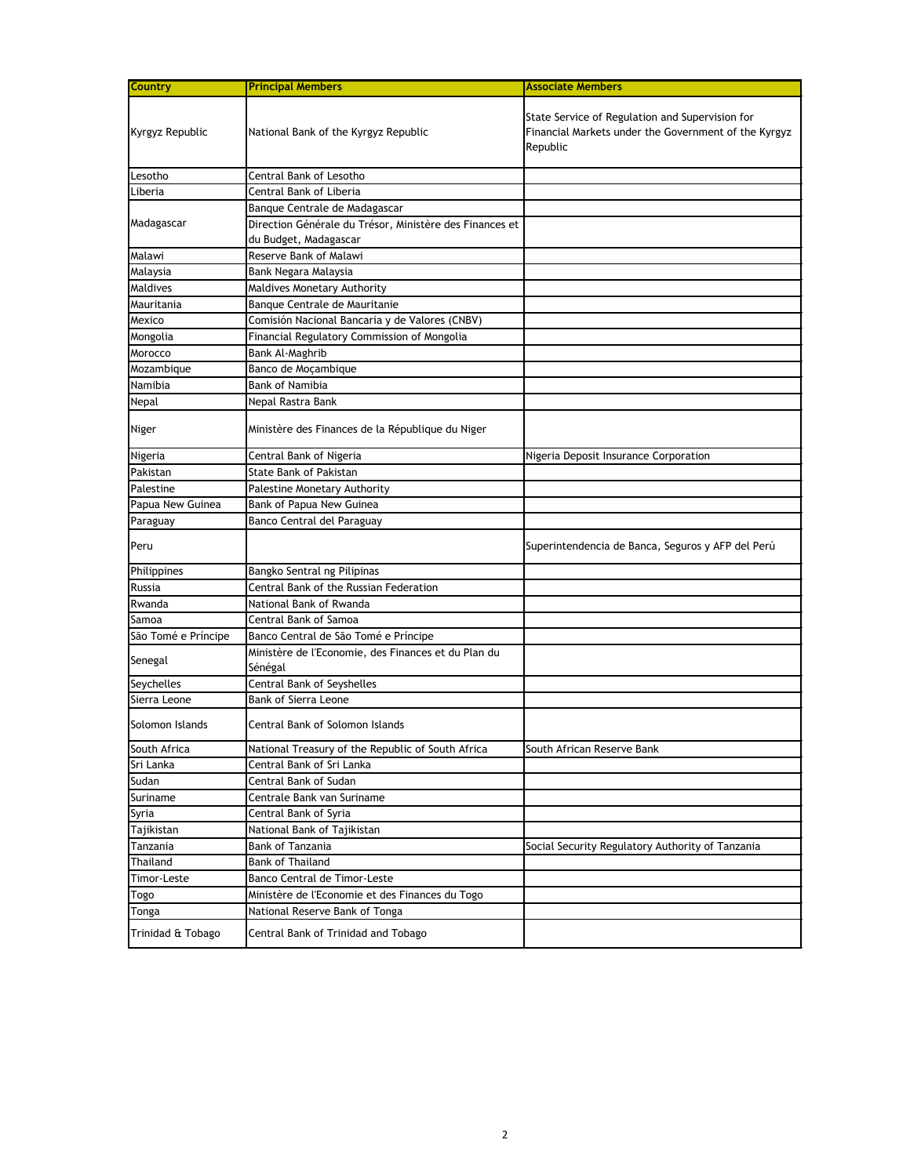| <b>Country</b>      | <b>Principal Members</b>                                                         | <b>Associate Members</b>                                                                                            |
|---------------------|----------------------------------------------------------------------------------|---------------------------------------------------------------------------------------------------------------------|
| Kyrgyz Republic     | National Bank of the Kyrgyz Republic                                             | State Service of Regulation and Supervision for<br>Financial Markets under the Government of the Kyrgyz<br>Republic |
| Lesotho             | Central Bank of Lesotho                                                          |                                                                                                                     |
| Liberia             | Central Bank of Liberia                                                          |                                                                                                                     |
|                     | Banque Centrale de Madagascar                                                    |                                                                                                                     |
| Madagascar          | Direction Générale du Trésor, Ministère des Finances et<br>du Budget, Madagascar |                                                                                                                     |
| Malawi              | Reserve Bank of Malawi                                                           |                                                                                                                     |
| Malaysia            | Bank Negara Malaysia                                                             |                                                                                                                     |
| Maldives            | Maldives Monetary Authority                                                      |                                                                                                                     |
| Mauritania          | Banque Centrale de Mauritanie                                                    |                                                                                                                     |
| Mexico              | Comisión Nacional Bancaria y de Valores (CNBV)                                   |                                                                                                                     |
| Mongolia            | Financial Regulatory Commission of Mongolia                                      |                                                                                                                     |
| Morocco             | <b>Bank Al-Maghrib</b>                                                           |                                                                                                                     |
| Mozambique          | Banco de Moçambique                                                              |                                                                                                                     |
| Namibia             | <b>Bank of Namibia</b>                                                           |                                                                                                                     |
| <b>Nepal</b>        | Nepal Rastra Bank                                                                |                                                                                                                     |
| <b>Niger</b>        | Ministère des Finances de la République du Niger                                 |                                                                                                                     |
| Nigeria             | Central Bank of Nigeria                                                          | Nigeria Deposit Insurance Corporation                                                                               |
| Pakistan            | <b>State Bank of Pakistan</b>                                                    |                                                                                                                     |
| Palestine           | Palestine Monetary Authority                                                     |                                                                                                                     |
| Papua New Guinea    | Bank of Papua New Guinea                                                         |                                                                                                                     |
| Paraguay            | Banco Central del Paraguay                                                       |                                                                                                                     |
| Peru                |                                                                                  | Superintendencia de Banca, Seguros y AFP del Perú                                                                   |
| Philippines         | Bangko Sentral ng Pilipinas                                                      |                                                                                                                     |
| Russia              | Central Bank of the Russian Federation                                           |                                                                                                                     |
| Rwanda              | National Bank of Rwanda                                                          |                                                                                                                     |
| Samoa               | Central Bank of Samoa                                                            |                                                                                                                     |
| São Tomé e Príncipe | Banco Central de São Tomé e Príncipe                                             |                                                                                                                     |
| Senegal             | Ministère de l'Economie, des Finances et du Plan du<br>Sénégal                   |                                                                                                                     |
| <b>Seychelles</b>   | Central Bank of Seyshelles                                                       |                                                                                                                     |
| Sierra Leone        | <b>Bank of Sierra Leone</b>                                                      |                                                                                                                     |
| Solomon Islands     | Central Bank of Solomon Islands                                                  |                                                                                                                     |
| South Africa        | National Treasury of the Republic of South Africa                                | South African Reserve Bank                                                                                          |
| Sri Lanka           | Central Bank of Sri Lanka                                                        |                                                                                                                     |
| Sudan               | <b>Central Bank of Sudan</b>                                                     |                                                                                                                     |
| Suriname            | Centrale Bank van Suriname                                                       |                                                                                                                     |
| Syria               | Central Bank of Syria                                                            |                                                                                                                     |
| Tajikistan          | National Bank of Tajikistan                                                      |                                                                                                                     |
| Tanzania            | <b>Bank of Tanzania</b>                                                          | Social Security Regulatory Authority of Tanzania                                                                    |
| <b>Thailand</b>     | <b>Bank of Thailand</b>                                                          |                                                                                                                     |
| <b>Timor-Leste</b>  | Banco Central de Timor-Leste                                                     |                                                                                                                     |
| Togo                | Ministère de l'Economie et des Finances du Togo                                  |                                                                                                                     |
| Tonga               | National Reserve Bank of Tonga                                                   |                                                                                                                     |
| Trinidad & Tobago   | Central Bank of Trinidad and Tobago                                              |                                                                                                                     |